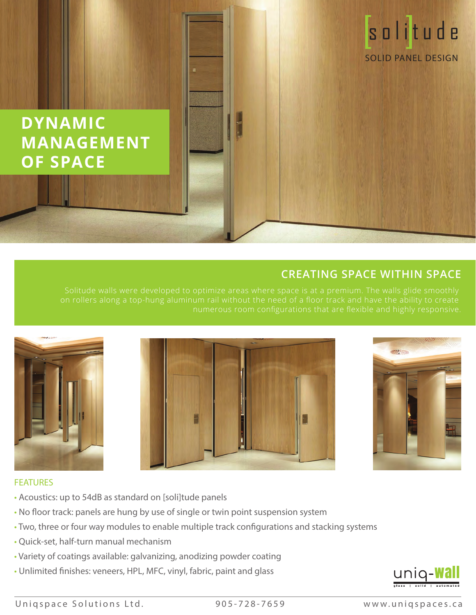# **DYNAMIC MANAGEMENT OF SPACE**

## **CREATING SPACE WITHIN SPACE**







solitude

SOLID PANEL DESIGN

### FEATURES

- Acoustics: up to 54dB as standard on [soli]tude panels
- No floor track: panels are hung by use of single or twin point suspension system
- Two, three or four way modules to enable multiple track configurations and stacking systems
- Quick-set, half-turn manual mechanism
- Variety of coatings available: galvanizing, anodizing powder coating
- Unlimited finishes: veneers, HPL, MFC, vinyl, fabric, paint and glass



Uniqspace Solutions Ltd. 905-728-7659 www.uniqspaces.ca